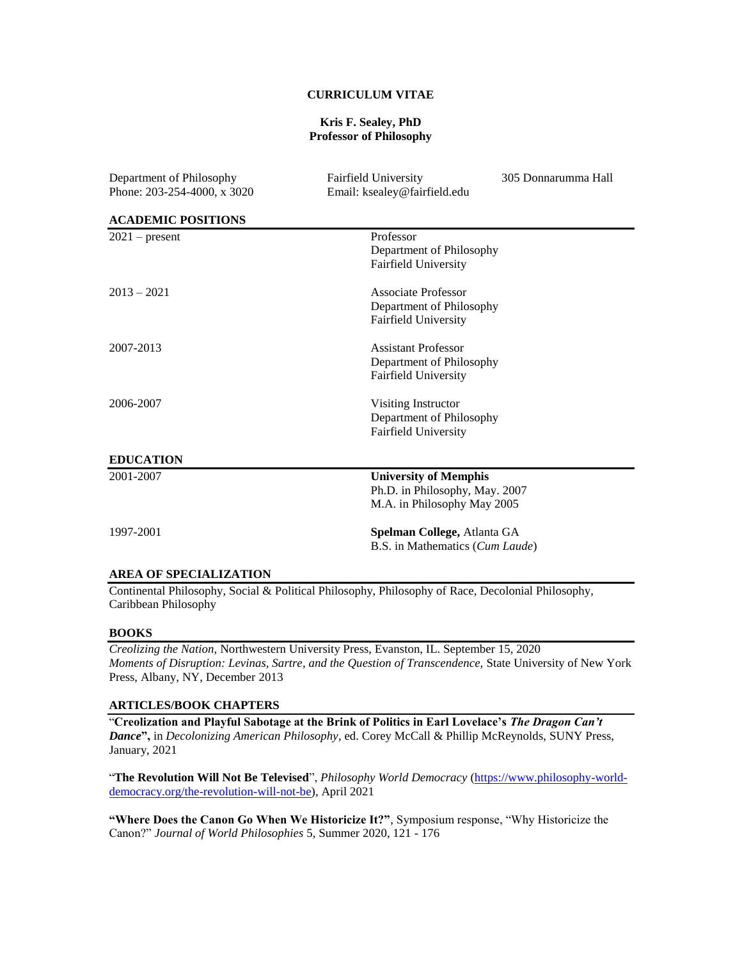# **CURRICULUM VITAE**

#### **Kris F. Sealey, PhD Professor of Philosophy**

| Department of Philosophy      | Fairfield University            | 305 Donnarumma Hall |
|-------------------------------|---------------------------------|---------------------|
| Phone: 203-254-4000, x 3020   | Email: ksealey@fairfield.edu    |                     |
| <b>ACADEMIC POSITIONS</b>     |                                 |                     |
| $2021$ – present              | Professor                       |                     |
|                               | Department of Philosophy        |                     |
|                               | Fairfield University            |                     |
| $2013 - 2021$                 | Associate Professor             |                     |
|                               | Department of Philosophy        |                     |
|                               | Fairfield University            |                     |
| 2007-2013                     | <b>Assistant Professor</b>      |                     |
|                               | Department of Philosophy        |                     |
|                               | Fairfield University            |                     |
| 2006-2007                     | Visiting Instructor             |                     |
|                               | Department of Philosophy        |                     |
|                               | Fairfield University            |                     |
| <b>EDUCATION</b>              |                                 |                     |
| 2001-2007                     | <b>University of Memphis</b>    |                     |
|                               | Ph.D. in Philosophy, May. 2007  |                     |
|                               | M.A. in Philosophy May 2005     |                     |
| 1997-2001                     | Spelman College, Atlanta GA     |                     |
|                               | B.S. in Mathematics (Cum Laude) |                     |
| <b>AREA OF SPECIALIZATION</b> |                                 |                     |

Continental Philosophy, Social & Political Philosophy, Philosophy of Race, Decolonial Philosophy, Caribbean Philosophy

#### **BOOKS**

*Creolizing the Nation,* Northwestern University Press, Evanston, IL. September 15, 2020 *Moments of Disruption: Levinas, Sartre, and the Question of Transcendence,* State University of New York Press, Albany, NY, December 2013

# **ARTICLES/BOOK CHAPTERS**

"**Creolization and Playful Sabotage at the Brink of Politics in Earl Lovelace's** *The Dragon Can't Dance***",** in *Decolonizing American Philosophy,* ed. Corey McCall & Phillip McReynolds, SUNY Press, January, 2021

"**The Revolution Will Not Be Televised**", *Philosophy World Democracy* [\(https://www.philosophy-world](https://www.philosophy-world-democracy.org/the-revolution-will-not-be)[democracy.org/the-revolution-will-not-be\)](https://www.philosophy-world-democracy.org/the-revolution-will-not-be), April 2021

**"Where Does the Canon Go When We Historicize It?"**, Symposium response, "Why Historicize the Canon?" *Journal of World Philosophies* 5, Summer 2020, 121 - 176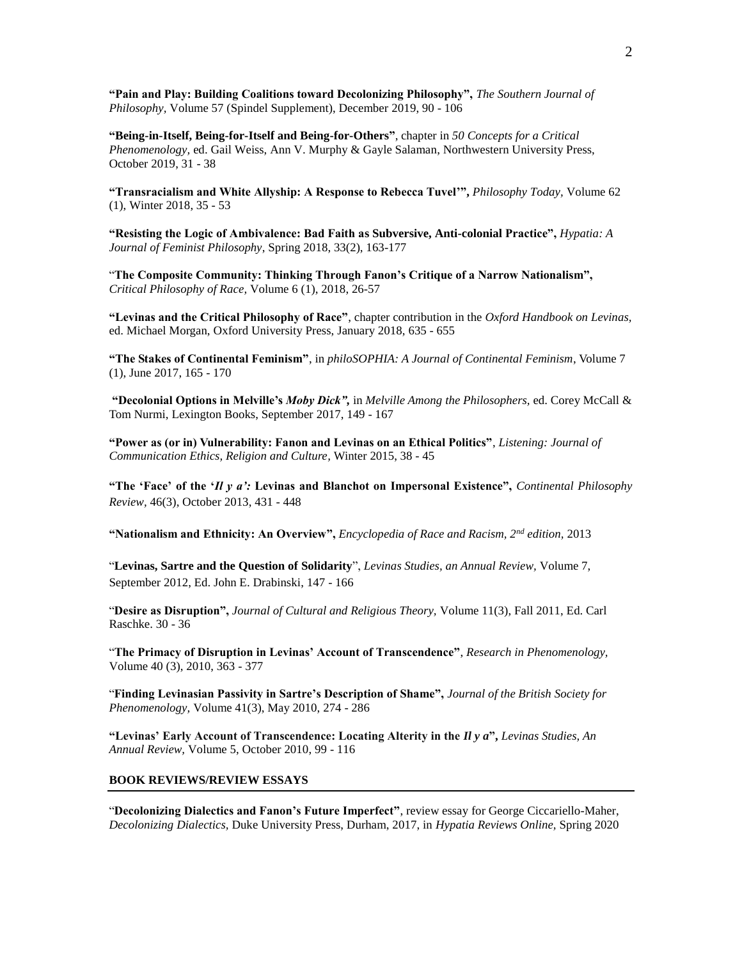**"Pain and Play: Building Coalitions toward Decolonizing Philosophy",** *The Southern Journal of Philosophy,* Volume 57 (Spindel Supplement), December 2019, 90 - 106

**"Being-in-Itself, Being-for-Itself and Being-for-Others"**, chapter in *50 Concepts for a Critical Phenomenology,* ed. Gail Weiss, Ann V. Murphy & Gayle Salaman, Northwestern University Press, October 2019, 31 - 38

**"Transracialism and White Allyship: A Response to Rebecca Tuvel'",** *Philosophy Today,* Volume 62 (1), Winter 2018, 35 - 53

**"Resisting the Logic of Ambivalence: Bad Faith as Subversive, Anti-colonial Practice",** *Hypatia: A Journal of Feminist Philosophy*, Spring 2018, 33(2), 163-177

"**The Composite Community: Thinking Through Fanon's Critique of a Narrow Nationalism",**  *Critical Philosophy of Race,* Volume 6 (1), 2018, 26-57

**"Levinas and the Critical Philosophy of Race"**, chapter contribution in the *Oxford Handbook on Levinas,*  ed. Michael Morgan, Oxford University Press, January 2018, 635 - 655

**"The Stakes of Continental Feminism"**, in *philoSOPHIA: A Journal of Continental Feminism*, Volume 7 (1), June 2017, 165 - 170

**"Decolonial Options in Melville's** *Moby Dick",* in *Melville Among the Philosophers,* ed. Corey McCall & Tom Nurmi, Lexington Books, September 2017, 149 - 167

**"Power as (or in) Vulnerability: Fanon and Levinas on an Ethical Politics"**, *Listening: Journal of Communication Ethics, Religion and Culture,* Winter 2015, 38 - 45

**"The 'Face' of the '***Il y a':* **Levinas and Blanchot on Impersonal Existence",** *Continental Philosophy Review,* 46(3), October 2013, 431 - 448

**"Nationalism and Ethnicity: An Overview",** *Encyclopedia of Race and Racism, 2nd edition,* 2013

"**Levinas, Sartre and the Question of Solidarity**", *Levinas Studies, an Annual Review,* Volume 7, September 2012, Ed. John E. Drabinski, 147 - 166

"**Desire as Disruption",** *Journal of Cultural and Religious Theory,* Volume 11(3), Fall 2011, Ed. Carl Raschke. 30 - 36

"**The Primacy of Disruption in Levinas' Account of Transcendence"**, *Research in Phenomenology,*  Volume 40 (3), 2010, 363 - 377

"**Finding Levinasian Passivity in Sartre's Description of Shame",** *Journal of the British Society for Phenomenology,* Volume 41(3), May 2010, 274 - 286

**"Levinas' Early Account of Transcendence: Locating Alterity in the** *Il y a***",** *Levinas Studies, An Annual Review,* Volume 5, October 2010, 99 - 116

#### **BOOK REVIEWS/REVIEW ESSAYS**

"**Decolonizing Dialectics and Fanon's Future Imperfect"**, review essay for George Ciccariello-Maher, *Decolonizing Dialectics,* Duke University Press, Durham, 2017, in *Hypatia Reviews Online,* Spring 2020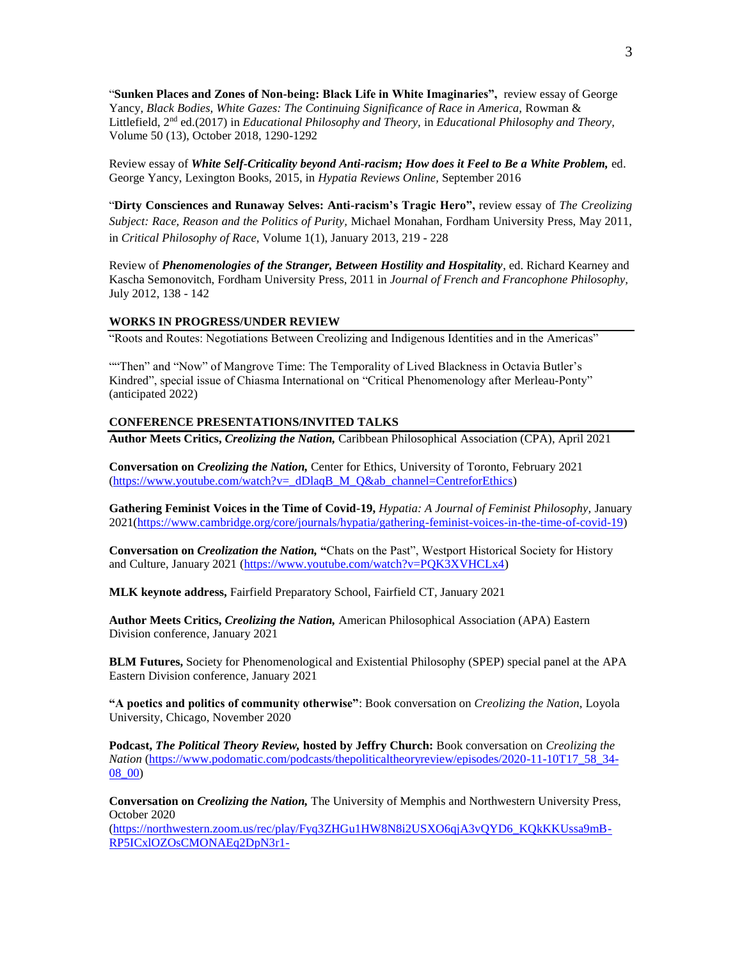"**Sunken Places and Zones of Non-being: Black Life in White Imaginaries",** review essay of George Yancy, *Black Bodies, White Gazes: The Continuing Significance of Race in America,* Rowman & Littlefield, 2<sup>nd</sup> ed.(2017) in *Educational Philosophy and Theory,* in *Educational Philosophy and Theory,* Volume 50 (13), October 2018, 1290-1292

Review essay of *White Self-Criticality beyond Anti-racism; How does it Feel to Be a White Problem,* ed. George Yancy, Lexington Books, 2015, in *Hypatia Reviews Online,* September 2016

"**Dirty Consciences and Runaway Selves: Anti-racism's Tragic Hero",** review essay of *The Creolizing Subject: Race, Reason and the Politics of Purity,* Michael Monahan, Fordham University Press, May 2011, in *Critical Philosophy of Race,* Volume 1(1), January 2013, 219 - 228

Review of *Phenomenologies of the Stranger, Between Hostility and Hospitality*, ed. Richard Kearney and Kascha Semonovitch, Fordham University Press, 2011 in *Journal of French and Francophone Philosophy,*  July 2012, 138 - 142

#### **WORKS IN PROGRESS/UNDER REVIEW**

"Roots and Routes: Negotiations Between Creolizing and Indigenous Identities and in the Americas"

""Then" and "Now" of Mangrove Time: The Temporality of Lived Blackness in Octavia Butler's Kindred", special issue of Chiasma International on "Critical Phenomenology after Merleau-Ponty" (anticipated 2022)

#### **CONFERENCE PRESENTATIONS/INVITED TALKS**

**Author Meets Critics,** *Creolizing the Nation,* Caribbean Philosophical Association (CPA), April 2021

**Conversation on** *Creolizing the Nation,* Center for Ethics, University of Toronto, February 2021 [\(https://www.youtube.com/watch?v=\\_dDlaqB\\_M\\_Q&ab\\_channel=CentreforEthics\)](https://www.youtube.com/watch?v=_dDlaqB_M_Q&ab_channel=CentreforEthics)

**Gathering Feminist Voices in the Time of Covid-19,** *Hypatia: A Journal of Feminist Philosophy,* January 2021[\(https://www.cambridge.org/core/journals/hypatia/gathering-feminist-voices-in-the-time-of-covid-19\)](https://www.cambridge.org/core/journals/hypatia/gathering-feminist-voices-in-the-time-of-covid-19)

**Conversation on** *Creolization the Nation,* **"**Chats on the Past", Westport Historical Society for History and Culture, January 2021 [\(https://www.youtube.com/watch?v=PQK3XVHCLx4\)](https://www.youtube.com/watch?v=PQK3XVHCLx4)

**MLK keynote address,** Fairfield Preparatory School, Fairfield CT, January 2021

**Author Meets Critics,** *Creolizing the Nation,* American Philosophical Association (APA) Eastern Division conference, January 2021

**BLM Futures,** Society for Phenomenological and Existential Philosophy (SPEP) special panel at the APA Eastern Division conference, January 2021

**"A poetics and politics of community otherwise"**: Book conversation on *Creolizing the Nation,* Loyola University, Chicago, November 2020

**Podcast,** *The Political Theory Review,* **hosted by Jeffry Church:** Book conversation on *Creolizing the Nation* [\(https://www.podomatic.com/podcasts/thepoliticaltheoryreview/episodes/2020-11-10T17\\_58\\_34-](https://www.podomatic.com/podcasts/thepoliticaltheoryreview/episodes/2020-11-10T17_58_34-08_00) [08\\_00\)](https://www.podomatic.com/podcasts/thepoliticaltheoryreview/episodes/2020-11-10T17_58_34-08_00)

**Conversation on** *Creolizing the Nation,* The University of Memphis and Northwestern University Press, October 2020

(https://northwestern.zoom.us/rec/play/Fyq3ZHGu1HW8N8i2USXO6qjA3yOYD6\_KOkKKUssa9mB-[RP5ICxlOZOsCMONAEq2DpN3r1-](https://northwestern.zoom.us/rec/play/Fyq3ZHGu1HW8N8i2USXO6qjA3vQYD6_KQkKKUssa9mB-RP5ICxlOZOsCMONAEq2DpN3r1-SD8Hi5LHlk.BgApJgXEFUAun5lL?continueMode=true&_x_zm_rtaid=cqUpebd8QFqlDIeY2E9-kg.1603474850164.8da0b2709bb30901a9147465426a2ba9&_x_zm_rhtaid=806)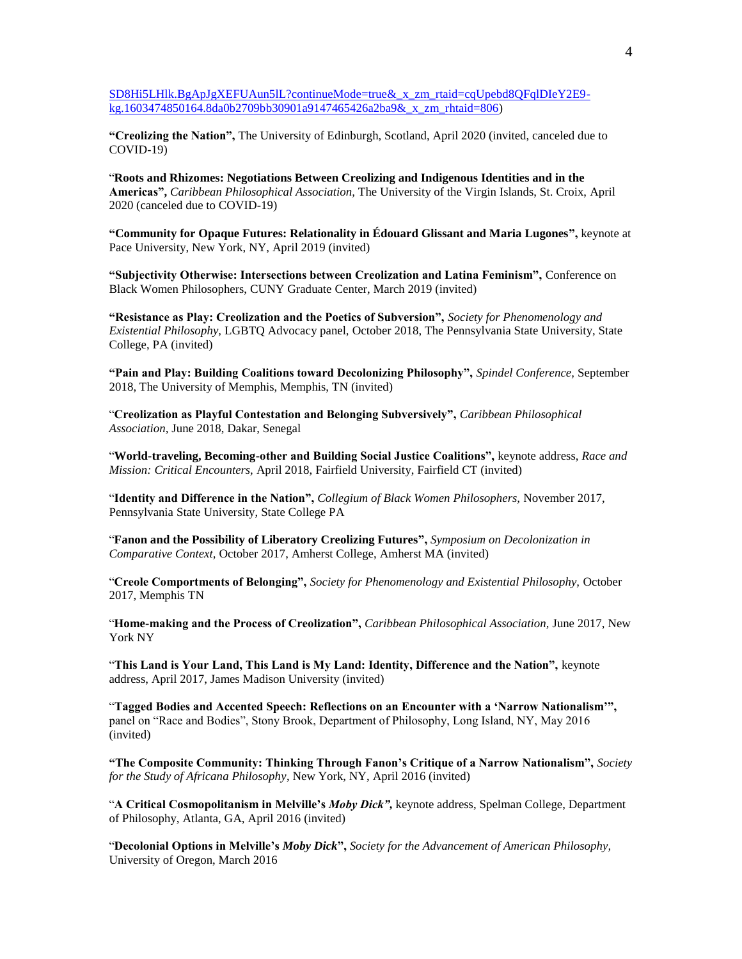[SD8Hi5LHlk.BgApJgXEFUAun5lL?continueMode=true&\\_x\\_zm\\_rtaid=cqUpebd8QFqlDIeY2E9](https://northwestern.zoom.us/rec/play/Fyq3ZHGu1HW8N8i2USXO6qjA3vQYD6_KQkKKUssa9mB-RP5ICxlOZOsCMONAEq2DpN3r1-SD8Hi5LHlk.BgApJgXEFUAun5lL?continueMode=true&_x_zm_rtaid=cqUpebd8QFqlDIeY2E9-kg.1603474850164.8da0b2709bb30901a9147465426a2ba9&_x_zm_rhtaid=806) [kg.1603474850164.8da0b2709bb30901a9147465426a2ba9&\\_x\\_zm\\_rhtaid=806\)](https://northwestern.zoom.us/rec/play/Fyq3ZHGu1HW8N8i2USXO6qjA3vQYD6_KQkKKUssa9mB-RP5ICxlOZOsCMONAEq2DpN3r1-SD8Hi5LHlk.BgApJgXEFUAun5lL?continueMode=true&_x_zm_rtaid=cqUpebd8QFqlDIeY2E9-kg.1603474850164.8da0b2709bb30901a9147465426a2ba9&_x_zm_rhtaid=806)

**"Creolizing the Nation",** The University of Edinburgh, Scotland, April 2020 (invited, canceled due to COVID-19)

"**Roots and Rhizomes: Negotiations Between Creolizing and Indigenous Identities and in the Americas",** *Caribbean Philosophical Association,* The University of the Virgin Islands, St. Croix, April 2020 (canceled due to COVID-19)

**"Community for Opaque Futures: Relationality in Édouard Glissant and Maria Lugones",** keynote at Pace University, New York, NY, April 2019 (invited)

**"Subjectivity Otherwise: Intersections between Creolization and Latina Feminism",** Conference on Black Women Philosophers, CUNY Graduate Center, March 2019 (invited)

**"Resistance as Play: Creolization and the Poetics of Subversion",** *Society for Phenomenology and Existential Philosophy,* LGBTQ Advocacy panel, October 2018, The Pennsylvania State University, State College, PA (invited)

**"Pain and Play: Building Coalitions toward Decolonizing Philosophy",** *Spindel Conference,* September 2018, The University of Memphis, Memphis, TN (invited)

"**Creolization as Playful Contestation and Belonging Subversively",** *Caribbean Philosophical Association,* June 2018, Dakar, Senegal

"**World-traveling, Becoming-other and Building Social Justice Coalitions",** keynote address, *Race and Mission: Critical Encounters,* April 2018, Fairfield University, Fairfield CT (invited)

"**Identity and Difference in the Nation",** *Collegium of Black Women Philosophers,* November 2017, Pennsylvania State University, State College PA

"**Fanon and the Possibility of Liberatory Creolizing Futures",** *Symposium on Decolonization in Comparative Context,* October 2017, Amherst College, Amherst MA (invited)

"**Creole Comportments of Belonging",** *Society for Phenomenology and Existential Philosophy,* October 2017, Memphis TN

"**Home-making and the Process of Creolization",** *Caribbean Philosophical Association,* June 2017, New York NY

"**This Land is Your Land, This Land is My Land: Identity, Difference and the Nation",** keynote address, April 2017, James Madison University (invited)

"**Tagged Bodies and Accented Speech: Reflections on an Encounter with a 'Narrow Nationalism'",**  panel on "Race and Bodies", Stony Brook, Department of Philosophy, Long Island, NY, May 2016 (invited)

**"The Composite Community: Thinking Through Fanon's Critique of a Narrow Nationalism",** *Society for the Study of Africana Philosophy*, New York, NY, April 2016 (invited)

"**A Critical Cosmopolitanism in Melville's** *Moby Dick",* keynote address, Spelman College, Department of Philosophy, Atlanta, GA, April 2016 (invited)

"**Decolonial Options in Melville's** *Moby Dick***",** *Society for the Advancement of American Philosophy,*  University of Oregon, March 2016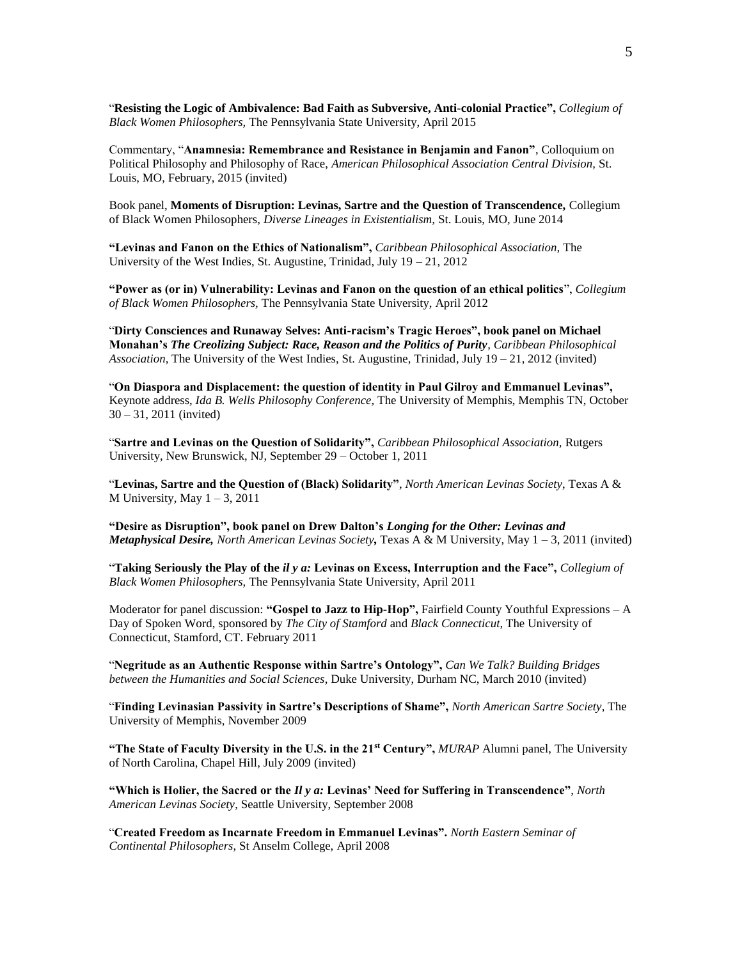"**Resisting the Logic of Ambivalence: Bad Faith as Subversive, Anti-colonial Practice",** *Collegium of Black Women Philosophers,* The Pennsylvania State University, April 2015

Commentary, "**Anamnesia: Remembrance and Resistance in Benjamin and Fanon"**, Colloquium on Political Philosophy and Philosophy of Race, *American Philosophical Association Central Division,* St. Louis, MO, February, 2015 (invited)

Book panel, **Moments of Disruption: Levinas, Sartre and the Question of Transcendence,** Collegium of Black Women Philosophers, *Diverse Lineages in Existentialism,* St. Louis, MO, June 2014

**"Levinas and Fanon on the Ethics of Nationalism",** *Caribbean Philosophical Association,* The University of the West Indies, St. Augustine, Trinidad, July  $19 - 21$ , 2012

**"Power as (or in) Vulnerability: Levinas and Fanon on the question of an ethical politics**", *Collegium of Black Women Philosophers,* The Pennsylvania State University, April 2012

"**Dirty Consciences and Runaway Selves: Anti-racism's Tragic Heroes", book panel on Michael Monahan's** *The Creolizing Subject: Race, Reason and the Politics of Purity, Caribbean Philosophical Association,* The University of the West Indies, St. Augustine, Trinidad*,* July 19 – 21, 2012 (invited)

"**On Diaspora and Displacement: the question of identity in Paul Gilroy and Emmanuel Levinas",**  Keynote address, *Ida B. Wells Philosophy Conference,* The University of Memphis, Memphis TN, October 30 – 31, 2011 (invited)

"**Sartre and Levinas on the Question of Solidarity",** *Caribbean Philosophical Association,* Rutgers University, New Brunswick, NJ, September 29 – October 1, 2011

"**Levinas, Sartre and the Question of (Black) Solidarity"**, *North American Levinas Society*, Texas A & M University, May  $1 - 3$ , 2011

**"Desire as Disruption", book panel on Drew Dalton's** *Longing for the Other: Levinas and Metaphysical Desire, North American Levinas Society,* Texas A & M University, May 1 – 3, 2011 (invited)

"**Taking Seriously the Play of the** *il y a:* **Levinas on Excess, Interruption and the Face",** *Collegium of Black Women Philosophers,* The Pennsylvania State University, April 2011

Moderator for panel discussion: **"Gospel to Jazz to Hip-Hop",** Fairfield County Youthful Expressions – A Day of Spoken Word, sponsored by *The City of Stamford* and *Black Connecticut*, The University of Connecticut, Stamford, CT. February 2011

"**Negritude as an Authentic Response within Sartre's Ontology",** *Can We Talk? Building Bridges between the Humanities and Social Sciences*, Duke University, Durham NC, March 2010 (invited)

"**Finding Levinasian Passivity in Sartre's Descriptions of Shame",** *North American Sartre Society*, The University of Memphis, November 2009

**"The State of Faculty Diversity in the U.S. in the 21st Century",** *MURAP* Alumni panel, The University of North Carolina, Chapel Hill, July 2009 (invited)

**"Which is Holier, the Sacred or the** *Il y a:* **Levinas' Need for Suffering in Transcendence"**, *North American Levinas Society*, Seattle University, September 2008

"**Created Freedom as Incarnate Freedom in Emmanuel Levinas".** *North Eastern Seminar of Continental Philosophers*, St Anselm College, April 2008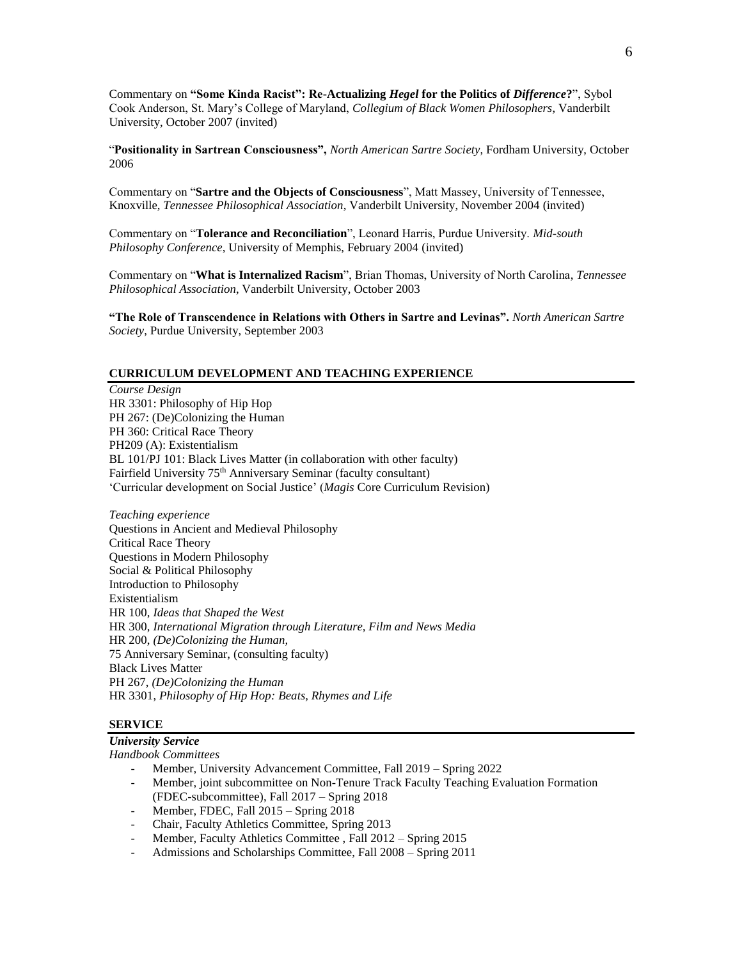Commentary on **"Some Kinda Racist": Re-Actualizing** *Hegel* **for the Politics of** *Difference***?**", Sybol Cook Anderson, St. Mary's College of Maryland, *Collegium of Black Women Philosophers*, Vanderbilt University, October 2007 (invited)

"**Positionality in Sartrean Consciousness",** *North American Sartre Society*, Fordham University, October 2006

Commentary on "**Sartre and the Objects of Consciousness**", Matt Massey, University of Tennessee, Knoxville, *Tennessee Philosophical Association*, Vanderbilt University, November 2004 (invited)

Commentary on "**Tolerance and Reconciliation**", Leonard Harris, Purdue University. *Mid-south Philosophy Conference*, University of Memphis, February 2004 (invited)

Commentary on "**What is Internalized Racism**", Brian Thomas, University of North Carolina, *Tennessee Philosophical Association*, Vanderbilt University, October 2003

**"The Role of Transcendence in Relations with Others in Sartre and Levinas".** *North American Sartre Society*, Purdue University, September 2003

#### **CURRICULUM DEVELOPMENT AND TEACHING EXPERIENCE**

*Course Design* HR 3301: Philosophy of Hip Hop PH 267: (De)Colonizing the Human PH 360: Critical Race Theory PH209 (A): Existentialism BL 101/PJ 101: Black Lives Matter (in collaboration with other faculty) Fairfield University 75<sup>th</sup> Anniversary Seminar (faculty consultant) 'Curricular development on Social Justice' (*Magis* Core Curriculum Revision)

*Teaching experience* Questions in Ancient and Medieval Philosophy Critical Race Theory Questions in Modern Philosophy Social & Political Philosophy Introduction to Philosophy Existentialism HR 100, *Ideas that Shaped the West* HR 300, *International Migration through Literature, Film and News Media* HR 200, *(De)Colonizing the Human,* 75 Anniversary Seminar, (consulting faculty) Black Lives Matter PH 267, *(De)Colonizing the Human* HR 3301, *Philosophy of Hip Hop: Beats, Rhymes and Life*

#### **SERVICE**

# *University Service*

*Handbook Committees*

- Member, University Advancement Committee, Fall 2019 Spring 2022
- Member, joint subcommittee on Non-Tenure Track Faculty Teaching Evaluation Formation (FDEC-subcommittee), Fall 2017 – Spring 2018
- Member, FDEC, Fall 2015 Spring 2018
- Chair, Faculty Athletics Committee, Spring 2013
- Member, Faculty Athletics Committee, Fall 2012 Spring 2015
- Admissions and Scholarships Committee, Fall 2008 Spring 2011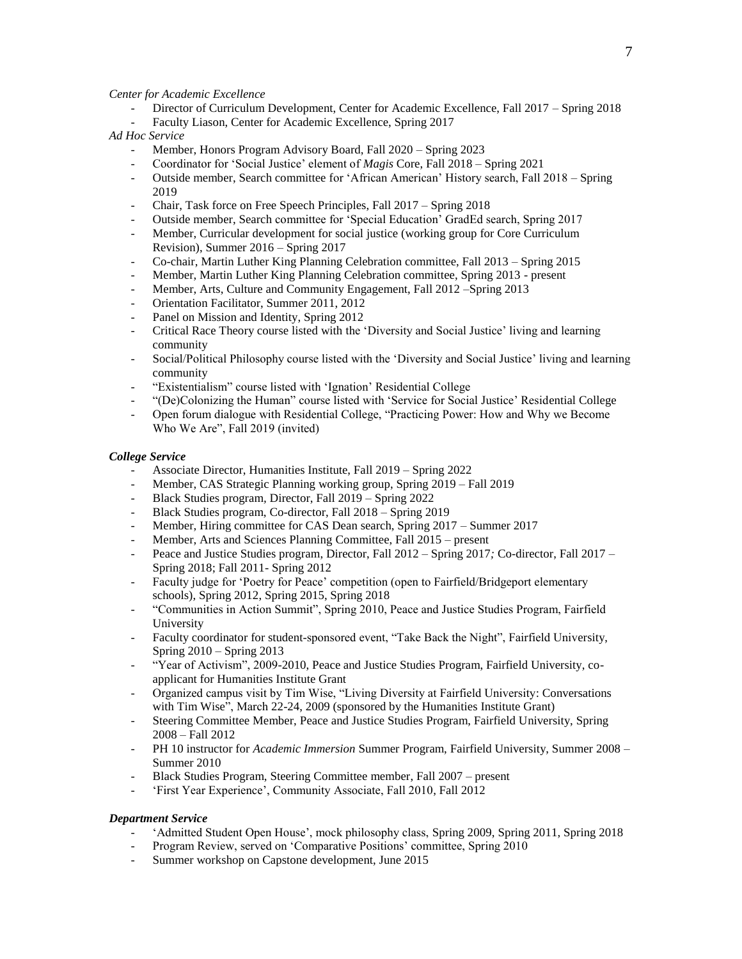#### *Center for Academic Excellence*

- Director of Curriculum Development, Center for Academic Excellence, Fall 2017 Spring 2018 Faculty Liason, Center for Academic Excellence, Spring 2017
- 

# *Ad Hoc Service*

- Member, Honors Program Advisory Board, Fall 2020 Spring 2023
- Coordinator for 'Social Justice' element of *Magis* Core, Fall 2018 Spring 2021
- Outside member, Search committee for 'African American' History search, Fall 2018 Spring 2019
- Chair, Task force on Free Speech Principles, Fall 2017 Spring 2018
- Outside member, Search committee for 'Special Education' GradEd search, Spring 2017
- Member, Curricular development for social justice (working group for Core Curriculum Revision), Summer 2016 – Spring 2017
- Co-chair, Martin Luther King Planning Celebration committee, Fall 2013 Spring 2015
- Member, Martin Luther King Planning Celebration committee, Spring 2013 present
- Member, Arts, Culture and Community Engagement, Fall 2012 –Spring 2013
- Orientation Facilitator, Summer 2011, 2012
- Panel on Mission and Identity, Spring 2012
- Critical Race Theory course listed with the 'Diversity and Social Justice' living and learning community
- Social/Political Philosophy course listed with the 'Diversity and Social Justice' living and learning community
- "Existentialism" course listed with 'Ignation' Residential College
- "(De)Colonizing the Human" course listed with 'Service for Social Justice' Residential College
- Open forum dialogue with Residential College, "Practicing Power: How and Why we Become Who We Are", Fall 2019 (invited)

#### *College Service*

- Associate Director, Humanities Institute, Fall 2019 Spring 2022
- Member, CAS Strategic Planning working group, Spring 2019 Fall 2019
- Black Studies program*,* Director, Fall 2019 Spring 2022
- Black Studies program, Co-director, Fall 2018 Spring 2019
- Member, Hiring committee for CAS Dean search, Spring 2017 Summer 2017
- Member, Arts and Sciences Planning Committee, Fall 2015 present
- Peace and Justice Studies program, Director, Fall 2012 Spring 2017*;* Co-director, Fall 2017 Spring 2018; Fall 2011- Spring 2012
- Faculty judge for 'Poetry for Peace' competition (open to Fairfield/Bridgeport elementary schools), Spring 2012, Spring 2015, Spring 2018
- "Communities in Action Summit", Spring 2010, Peace and Justice Studies Program, Fairfield University
- Faculty coordinator for student-sponsored event, "Take Back the Night", Fairfield University, Spring 2010 – Spring 2013
- "Year of Activism", 2009-2010, Peace and Justice Studies Program, Fairfield University, coapplicant for Humanities Institute Grant
- Organized campus visit by Tim Wise, "Living Diversity at Fairfield University: Conversations with Tim Wise", March 22-24, 2009 (sponsored by the Humanities Institute Grant)
- Steering Committee Member, Peace and Justice Studies Program, Fairfield University, Spring 2008 – Fall 2012
- PH 10 instructor for *Academic Immersion* Summer Program, Fairfield University, Summer 2008 Summer 2010
- Black Studies Program, Steering Committee member, Fall 2007 present
- 'First Year Experience', Community Associate, Fall 2010, Fall 2012

#### *Department Service*

- 'Admitted Student Open House', mock philosophy class, Spring 2009, Spring 2011, Spring 2018
- Program Review, served on 'Comparative Positions' committee, Spring 2010
- Summer workshop on Capstone development, June 2015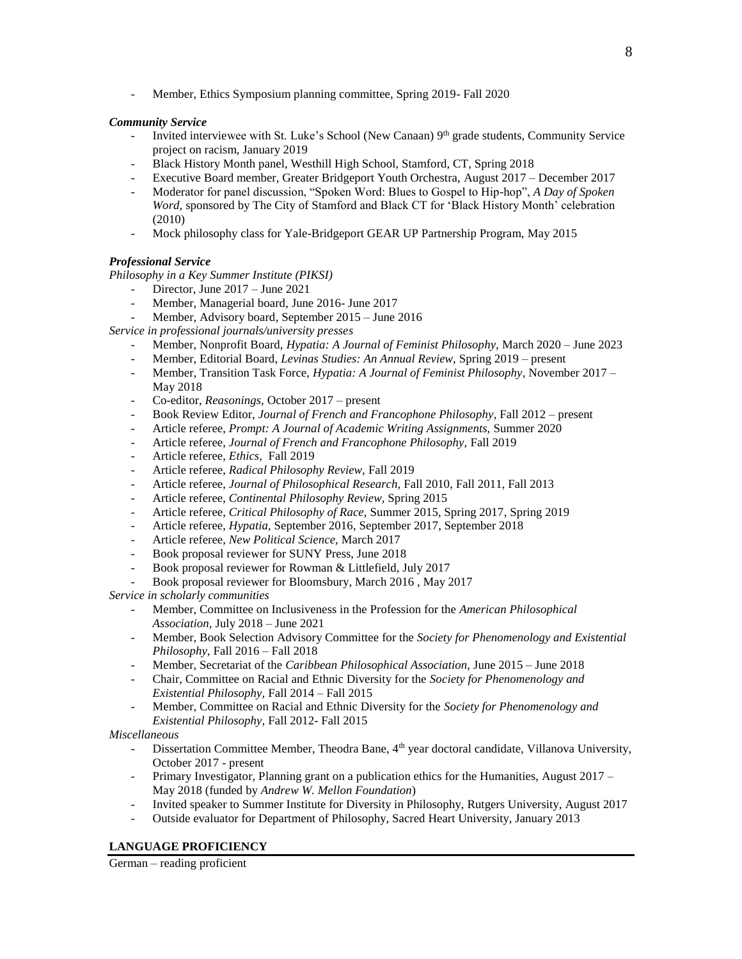- Member, Ethics Symposium planning committee, Spring 2019- Fall 2020

# *Community Service*

- Invited interviewee with St. Luke's School (New Canaan) 9<sup>th</sup> grade students, Community Service project on racism, January 2019
- Black History Month panel, Westhill High School, Stamford, CT, Spring 2018
- Executive Board member, Greater Bridgeport Youth Orchestra, August 2017 December 2017
- Moderator for panel discussion, "Spoken Word: Blues to Gospel to Hip-hop", *A Day of Spoken Word,* sponsored by The City of Stamford and Black CT for 'Black History Month' celebration (2010)
- Mock philosophy class for Yale-Bridgeport GEAR UP Partnership Program, May 2015

# *Professional Service*

*Philosophy in a Key Summer Institute (PIKSI)*

- Director, June 2017 June 2021
- Member, Managerial board, June 2016- June 2017
- Member, Advisory board*,* September 2015 June 2016

*Service in professional journals/university presses*

- Member, Nonprofit Board, *Hypatia: A Journal of Feminist Philosophy,* March 2020 June 2023
- Member, Editorial Board, *Levinas Studies: An Annual Review,* Spring 2019 present
- Member, Transition Task Force, *Hypatia: A Journal of Feminist Philosophy*, November 2017 May 2018
- Co-editor, *Reasonings,* October 2017 present
- Book Review Editor, *Journal of French and Francophone Philosophy*, Fall 2012 present
- Article referee, *Prompt: A Journal of Academic Writing Assignments,* Summer 2020
- Article referee, *Journal of French and Francophone Philosophy,* Fall 2019
- Article referee, *Ethics,* Fall 2019
- Article referee, *Radical Philosophy Review,* Fall 2019
- Article referee, *Journal of Philosophical Research,* Fall 2010, Fall 2011, Fall 2013
- Article referee, *Continental Philosophy Review,* Spring 2015
- Article referee, *Critical Philosophy of Race,* Summer 2015, Spring 2017, Spring 2019
- Article referee, *Hypatia,* September 2016, September 2017, September 2018
- Article referee, *New Political Science,* March 2017
- Book proposal reviewer for SUNY Press, June 2018
- Book proposal reviewer for Rowman & Littlefield, July 2017
- Book proposal reviewer for Bloomsbury, March 2016 , May 2017

*Service in scholarly communities*

- Member, Committee on Inclusiveness in the Profession for the *American Philosophical Association,* July 2018 – June 2021
- Member, Book Selection Advisory Committee for the *Society for Phenomenology and Existential Philosophy,* Fall 2016 – Fall 2018
- Member, Secretariat of the *Caribbean Philosophical Association,* June 2015 June 2018
- Chair, Committee on Racial and Ethnic Diversity for the *Society for Phenomenology and Existential Philosophy,* Fall 2014 – Fall 2015
- Member, Committee on Racial and Ethnic Diversity for the *Society for Phenomenology and Existential Philosophy,* Fall 2012- Fall 2015

*Miscellaneous*

- Dissertation Committee Member, Theodra Bane, 4<sup>th</sup> year doctoral candidate, Villanova University, October 2017 - present
- Primary Investigator, Planning grant on a publication ethics for the Humanities, August 2017 May 2018 (funded by *Andrew W. Mellon Foundation*)
- Invited speaker to Summer Institute for Diversity in Philosophy, Rutgers University, August 2017
- Outside evaluator for Department of Philosophy, Sacred Heart University, January 2013

# **LANGUAGE PROFICIENCY**

German – reading proficient